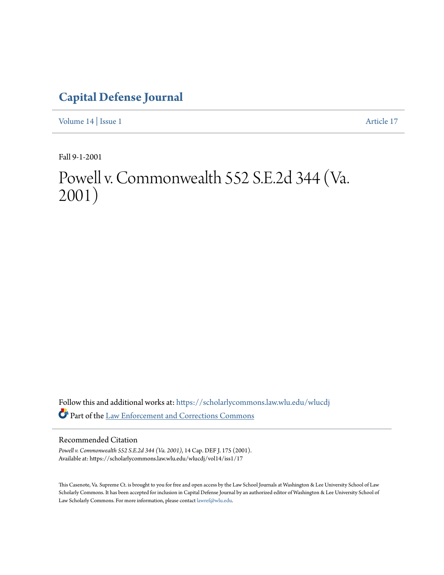# **[Capital Defense Journal](https://scholarlycommons.law.wlu.edu/wlucdj?utm_source=scholarlycommons.law.wlu.edu%2Fwlucdj%2Fvol14%2Fiss1%2F17&utm_medium=PDF&utm_campaign=PDFCoverPages)**

[Volume 14](https://scholarlycommons.law.wlu.edu/wlucdj/vol14?utm_source=scholarlycommons.law.wlu.edu%2Fwlucdj%2Fvol14%2Fiss1%2F17&utm_medium=PDF&utm_campaign=PDFCoverPages) | [Issue 1](https://scholarlycommons.law.wlu.edu/wlucdj/vol14/iss1?utm_source=scholarlycommons.law.wlu.edu%2Fwlucdj%2Fvol14%2Fiss1%2F17&utm_medium=PDF&utm_campaign=PDFCoverPages) [Article 17](https://scholarlycommons.law.wlu.edu/wlucdj/vol14/iss1/17?utm_source=scholarlycommons.law.wlu.edu%2Fwlucdj%2Fvol14%2Fiss1%2F17&utm_medium=PDF&utm_campaign=PDFCoverPages)

Fall 9-1-2001

# Powell v. Commonwealth 552 S.E.2d 344 (Va. 2001)

Follow this and additional works at: [https://scholarlycommons.law.wlu.edu/wlucdj](https://scholarlycommons.law.wlu.edu/wlucdj?utm_source=scholarlycommons.law.wlu.edu%2Fwlucdj%2Fvol14%2Fiss1%2F17&utm_medium=PDF&utm_campaign=PDFCoverPages) Part of the [Law Enforcement and Corrections Commons](http://network.bepress.com/hgg/discipline/854?utm_source=scholarlycommons.law.wlu.edu%2Fwlucdj%2Fvol14%2Fiss1%2F17&utm_medium=PDF&utm_campaign=PDFCoverPages)

# Recommended Citation

*Powell v. Commonwealth 552 S.E.2d 344 (Va. 2001)*, 14 Cap. DEF J. 175 (2001). Available at: https://scholarlycommons.law.wlu.edu/wlucdj/vol14/iss1/17

This Casenote, Va. Supreme Ct. is brought to you for free and open access by the Law School Journals at Washington & Lee University School of Law Scholarly Commons. It has been accepted for inclusion in Capital Defense Journal by an authorized editor of Washington & Lee University School of Law Scholarly Commons. For more information, please contact [lawref@wlu.edu.](mailto:lawref@wlu.edu)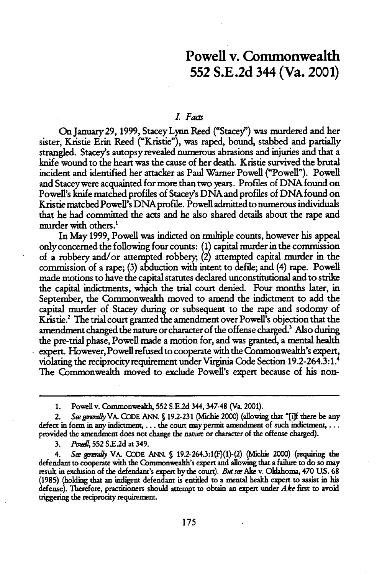# Powell v. Commonwealth **552 S.E.2d** 344 (Va. 2001)

## L *Facs*

On January29, **1999,** Stacey Lynn Reed ("Stacey") was murdered and her sister, Kristie Erin Reed ("Kristie"), was raped, bound, stabbed and partially strangled. Stacey's autopsy revealed numerous abrasions and injuries and that a knife wound to the heart was the cause of her death. Kristie survived the brutal incident and identified her attacker as Paul Warner Powell ("Powell"). Powell and Staceywere acquainted for more than two years. Profiles of DNA found on Powell's knife matched profiles of Stacey's DNA and profiles of DNA found on Kristie matched Powell's DNA profile. Powell admitted to numerous individuals that he had committed the acts and he also shared details about the rape and murder with others.'

In **May** 1999, Powell was indicted on multiple counts, however his appeal only concerned the following four counts: (1) capital murder in the commission of a robbery and/or attempted robbery; (2) attempted capital murder in the commission of a rape; (3) abduction with intent to defile; and (4) rape. Powell made motions to have the capital statutes declared unconstitutional and to strike the capital indictments, which the trial court denied. Four months later, in September, the Commonwealth moved to amend the indictment to add the capital murder of Stacey during or subsequent to the rape and sodomy of Kristie.2 The trial court granted the amendment over Powell's objection that the amendment changed the nature or character of the offense charged.' Also during the pre-trial phase, Powell made a motion for, and was granted, a mental health expert. However, Powell refused to cooperate with the Commonwealth's expert, violating the reciprocity requirement under Virginia Code Section 19.2-264.3:1. The Commonwealth moved to exclude Powell's expert because of his non-

3. *Pouel*, 552 S.E.2d at 349.

4. **See** *gmuy* VA. **CODE ANN. S** 19.2-264.3:1(F)(1)-(2) (Mchie 2000) (requiring the defendant to cooperate with **the** Commonwealth's expert and allowing that a failure to do so may result in exclusion of the defendant's expert bythe court). *But* **see Ake** v. Oklahoma, 470 US. 68 (1985) (holding that an indigent defendant is entitled to a mental health expert to assist in his defense). Therefore, practitioners should attempt to obtain an expert under *Ake* first to avoid triggering the reciprocity requirement.

**<sup>1.</sup>** Powellv. Commonwealth, 552 S.E2d 344, 347-48 (Va. 2001).

<sup>2.</sup> *Sw gma1y* VA. **CODE ANN. S** 192-231 (vfichie 2000) (allowing that **"[i]f** there be any defect in form in any indictment,  $\dots$  the court may permit amendment of such indictment,  $\dots$ provided the amendment does not change the nature or character of the offense charged).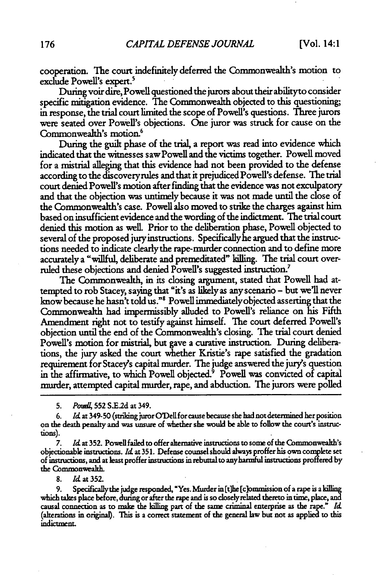cooperation. The court indefinitely deferred the Commonwealth's motion to exclude Powell's expert.'

During voir dire, Powell questioned the jurors about their abilityto consider specific mitigation evidence. The Commonwealth objected to this questioning; in response, the trial court limited the scope of Powell's questions. Three jurors were seated over Powell's objections. One juror was struck for cause on the Commonwealth's motion.<sup>6</sup>

During the guilt phase of the trial, a report was read into evidence which indicated that the witnesses saw Powell and the victims together. Powell moved for a mistrial alleging that this evidence had not been provided to the defense according to the discovery rules and that it prejudiced Powell's defense. The trial court denied Powell's motion after finding that the evidence was not exculpatory and that the objection was untimely because it was not made until the close of the Commonwealth's case. Powell also moved to strike the charges against him based on insufficient evidence and the wording of the indictment. The trial court denied this motion as well. Prior to the deliberation phase, Powell objected to several of the proposed juryinstructions. Specificallyhe argued that the instructions needed to indicate clearly the rape-murder connection and to define more accurately a "willful, deliberate and premeditated" killing. The trial court overruled these objections and denied Powell's suggested instruction.7

The Commonwealth, in its dosing argument, stated that Powell had attempted to rob Stacey, saying that "it's as likely as anyscenario - but we'll never know because he hasn't told us."' Powell immediatelyobjected asserting that the Commonwealth had impermissibly alluded to Powell's reliance on his Fifth Amendment right not to testify against himself. The court deferred Powel's objection until the end of the Commonwealth's dosing. The trial court denied Powell's motion for mistrial, but gave a curative instruction. During deliberations, the jury asked the court whether Kristie's rape satisfied the gradation requirement for Stacey's capital murder. The judge answered the jury's question in the affirmative, to which Powell objected.' Powell was convicted of capital murder, attempted capital murder, rape, and abduction. The jurors were polled

**5.** *Poumd* **552** S.E.2d at 349.

6. *Id* at 349-50 (striking juror O'Dell for cause because she **had** not determined her position on the death penalty and **was** unsure of whether she would be able to follow the court's instructions).

7. Id at 352. Powell failed to offer alternative instructions to some of the Commonwealth's objectionable *ins* **rtis. 1d** at 351. Defense counsel should always proffer his own complete set of instructions, and at least proffer instructions in rebuttal to any harmful instructions proffered by the Commonwealth.

8. Id at 352.

**9.** Specificallythe judge responded, "Yes. Murder in (t]he [clommission of a rape is a killing which takes place before, during or after the rape and is so doselyrelated thereto in time, place, and causal connection as to maie the **killing** part of the same criminal enterprise as the rape." *Id* (alterations in original). This is a correct statement of the general law but not as applied to this indictment.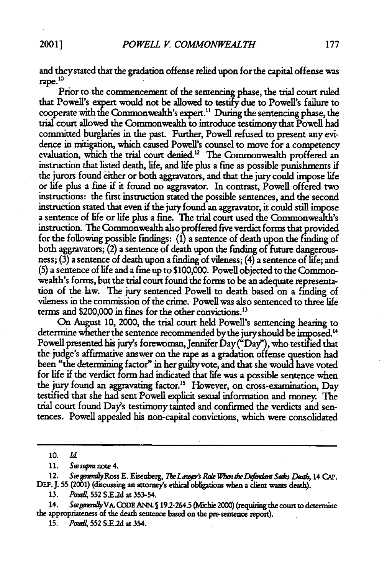and theystated that the gradation offense relied upon for the capital offense was 10 rape.

Prior to the commencement of the sentencing phase, the trial court ruled that Powell's expert would not be allowed to testify due to Powell's failure to cooperate with the Commonwealth's expert.11 During the sentencing phase, the trial court allowed the Commonweakh to introduce testimony that Powell had committed burglaries in the past. Further, Powell refused to present any evidence in mitigation, which caused Powell's counsel to move for a competency evaluation, which the trial court denied.<sup>12</sup> The Commonwealth proffered an instruction that listed death, fife, and life plus a fine as possible punishments if the jurors found either or both aggravators, and that the jury could impose fife or life plus a fine if it found no aggravator. In contrast, Powell offered two instructions: the first instruction stated the possible sentences, and the second instruction stated that even if the jury found an aggravator, it could still impose a sentence of life or fife plus a fine. **The** trial court used the Commonwealth's instruction. The Commonwealth also proffered five verdict forms that provided for the following possible findings: (1) a sentence of death upon the finding of both aggravators; (2) a sentence of death upon the finding of future dangerousness; **(3)** a sentence of death upon a finding of vileness; (4) a sentence of life; and **(5)** a sentence of life and a fine up to \$100,000. Powell objected to the Commonwealth's forms, but the trial court found the forms to be an adequate representa- tion of the law. The jury sentenced Powell to death based on a finding of vileness in the commission of the crime. Powell was also sentenced to three life terms and \$200,000 in fines for the other convictions."

On August 10, 2000, the trial court held Powell's sentencing hearing to determine whether the sentence recommended by the jury should be imposed.<sup>14</sup> Powell presented his jury's forewoman, Jennifer Day ("Day"), who testified that the judge's affirmative answer on the rape as a gradation offense question had been "the determining factor" in her guilty vote, and that she would have voted for life if the verdict form had indicated that life was a possible sentence when the jury found an aggravating factor.<sup>15</sup> However, on cross-examination, Day testified that she had sent Powell explicit sexual information and money. The trial court found Day's testimony tainted and confirmed the verdicts and sentences. Powell appealed his non-capital convictions, which were consolidated

12. See generally Ross E. Eisenberg, *The Lauger's Role When the Defendant Seeks Death*, 14 CAP. DEF. **155** (2001) (discussing **an** attorney's ethical obligations when a client wants death).

14. Sægenenully VA. CODE ANN. § 19.2-264.5 (Michie 2000) (requiring the court to determine **the** appropriateness of the death sentence based on the pre-sentence report).

**15.** *Pou* **552 S.E2d** at 354.

**<sup>10.</sup>** *Id*

<sup>11.</sup> See supra note 4.

**<sup>13.</sup>** Poud, **552 S.E2d** at **353-54.**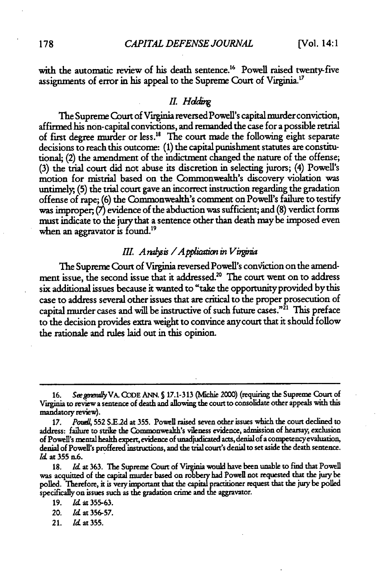with the automatic review of his death sentence.<sup>16</sup> Powell raised twenty-five assignments of error in his appeal to the Supreme Court of Virginia.<sup>17</sup>

#### *II.* Holding

The Supreme Court of Virginia reversed Powell's capital murder conviction, affirmed his non-capital convictions, and remanded the case for a possible retrial of first degree murder or less.<sup>18</sup> The court made the following eight separate decisions to reach this outcome: (1) the capital punishment statutes are constitutional; (2) the amendment of the indictment changed the nature of the offense; (3) the trial court did not abuse its discretion in selecting jurors; (4) Powell's motion for mistrial based on the Commonwealth's discovery violation was untimely, **(5)** the trial court gave an incorrect instruction regarding the gradation offense of rape; (6) the Commonwealth's comment on Powell's failure to testify was improper, **(7)** evidence of the abduction was sufficient; and (8) verdict forms must indicate to the jury that a sentence other than death may be imposed even when an aggravator is found.<sup>19</sup>

# *III. A rabsis / A pplication in Virginia*

The Supreme Court of Virginia reversed Powell's conviction on the amendment issue, the second issue that it addressed.<sup>20</sup> The court went on to address six additional issues because it wanted to "take the opportunity provided by this case to address several other issues that are critical to the proper prosecution of capital murder cases and will be instructive of such future cases."<sup>21</sup> This preface to the decision provides extra weight to convince any court that it should follow the rationale and rules laid out in this opinion.

21. *Id* at **355.**

<sup>16.</sup> *See generally* VA. CODE ANN. § 17.1-313 (Michie 2000) (requiring the Supreme Court of Virginia to review a sentence of death and allowing the court to consolidate other appeals with this mandatory revieW).

**<sup>17.</sup>** *PoudA,* **552 S.E2d** at **355.** Powell raised seven other issues which the court declined to address: failure to strike the Commonwealth's vileness evidence, admission of hearsay, exclusion of Powell's mental health expert, evidence of **umadjudicaed acts,** denial of a competencyevaluation, denial of Powell's proffered instructions, and the trial court's denial to set aside the death sentence. *1.* at **355** n.6.

**<sup>18.</sup>** *Id* at **363. The** Supreme Court **of Vigina** would have been unable to find that Powell was acquitted of the capital murder based on robbery had Powell not requested that the jury be polled. Therefore, it is very important that the capital practitioner request that the jury be polled specifkally on issues such as the gradation crime and **the** aggravator.

**<sup>19.</sup>** *IL* at **355-63.**

<sup>20.</sup> *IA* at **356-57.**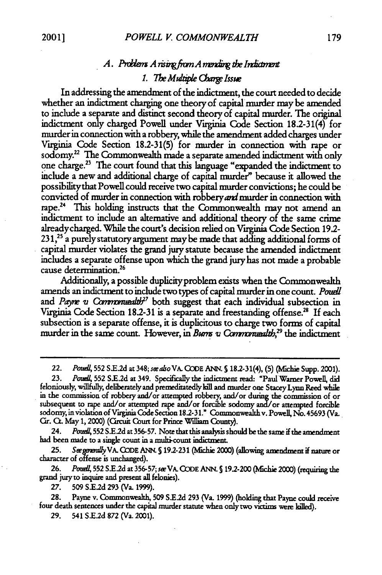# *A. Prdiez A risigfivn A nm the In&vnt* 1. The Multiple Charge Issue

In addressing the amendment of the indictment, the court needed to decide whether an indictment charging one theory of capital murder may be amended to include a separate and distinct second theory of capital murder. The original indictment only charged Powell under Virginia Code Section 18.2-31(4) for murder in connection with a robbery, while the amendment added charges under Virginia Code Section 18.2-31(5) for murder in connection with rape or sodomy.22 The Commonwealth made a separate amended indictment with only one charge.23 The court found that this Language "expanded the indictment to include a new and additional charge of capital murder" because it allowed the possibilitythat Powell could receive two capital nurder convictions; he could be convicted of murder in connection with robbery and murder in connection with rape.<sup>24</sup> This holding instructs that the Commonwealth may not amend an indictment to include an alternative and additional theory of the same crime alreadycharged. While the court's decision relied on Virginia **Code** Section 192- **231,25** a purely statutory argument maybe made that adding additional forms of capital murder violates the grand jury statute because the amended indictment includes a separate offense upon which the grand jury has not made a probable **<sup>26</sup>** cause determination.

Additionally, a possible duplicityproblem exists when the Commonwealth amends an indictment to include two types of capital murder in one count. *Pouell* and *Payne v Commonuealth<sup>27</sup>* both suggest that each individual subsection in Virginia Code Section 18.2-31 is a separate and freestanding offense.<sup>28</sup> If each subsection is a separate offense, it is duplicitous to charge two forms of capital murder in the same count. However, in *Burns v Commonwealth*,<sup>29</sup> the indictment

**23.** *Po...* **552** SE2d at 349. Specifically the indictment read: "Paul Warner Powell, did feloniously, willfully, deliberately and premeditatedly kill and murder one **Stacey** Lynn Reed while in the commission of robbery and/or attempted robbery, and/or **during** the commission of or subsequent to rape and/or attempted rape and/or forcible sodomy */or* attempted forcible sodomy, in violation of Virginia **Code** Section **182-31."** Commonwealth v. Powell, No.45693 (Va. Cir. **CL** May 1, 2000) (Crcuit Court for Prince William County).

24. *Poud* **552 S.E2d** at **356-57.** Note that this analysis should be the same if the amendment had been made to a single count in a multi-count indictment.

**25.** *Se#gemrly* VA. **CODE** ANN. **S** 192-231 (lchie 2000) (allowing amendment if nature or character of offense is unchanged).

26. *PoudJ,* **552 S1.2d** at **356-57;** seeVA. CODE **ANN. S** 192.200 (lfchie 2000) (requiring the grand jury to inquire and present all felonies).

**27. 509 SE.2d 293** (Va. **1999).**

28. Payne v. Commonwealh, **509** S1E2d 293 (Va. 1999) (holding that Payne could receive four death sentences under the capital murder statute when only two victims were **killed).**

**29.** 541 **S.E2d 872** (Va. 2001).

<sup>22.</sup> *Poude,* **552** S.E.2d at 348; *seealsoVA. CODE* ANN. **§** 18.2-31(4), **(5)** (Nfichie Supp. 2001).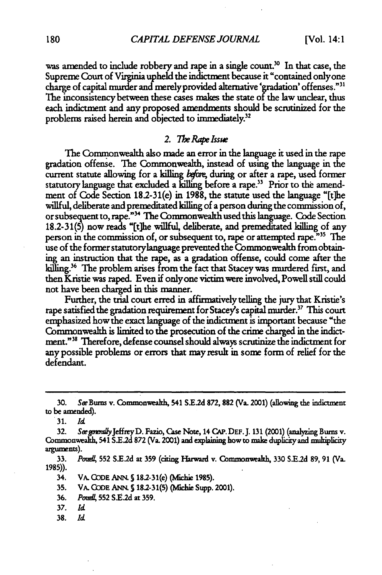was amended to include robbery and rape in a single count.<sup>30</sup> In that case, the Supreme Court of Virginia upheld the indictment because it "contained only one charge of capital murder and merely provided alternative 'gradation' offenses."<sup>31</sup> The inconsistency between these cases makes the state **of** the law unclear, thus each indictment and any proposed amendments should be scrutinized for the problems raised herein and objected to immediately.<sup>32</sup>

### *2. The Rape Isswe*

**The** Commonwealth also made an error in the language it used in the rape gradation offense. The Commonwealth, instead of using the language in the current statute allowing for a killing before, during or after a rape, used former statutory language that excluded a killing before a rape.<sup>33</sup> Prior to the amendment of Code Section 18.2-31(e) in 1988, the statute used the language "[t]he willful, deliberate and premeditated killing of a person during the commission of, or subsequent to, rape."<sup>34</sup> The Commonwealth used this language. Code Section 18.2-31(5) now reads "[the willful, deliberate, and premeditated killing of any person in the commission of, or subsequent to, rape or attempted rape.<sup>735</sup> The use of the former statutorylanguage prevented the Commonwealth from obtaining an instruction that the rape, as a gradation offense, could come after the killing.<sup>36</sup> The problem arises from the fact that Stacey was murdered first, and then Kristie was raped. Even if onlyone victim were involved, Powell still could not have been charged in this manner.

Further, the trial court erred in affirmatively telling the jury that Kristie's rape satisfied the gradation requirement for Stacey's capital murder.<sup>37</sup> This court emphasized how the exact language of the indictment is important because "the Commonwealth is limited to the prosecution **of** the crime charged in the indictment."38 Therefore, defense counsel should always scrutinize the indictment for any possible problems or errors that may result in some form of relief for the defendant.

**31.** *Id*

**33.** *PoudI,* **552** S.E.2d at **359** (citing Harward v. Commnonweal **330 S.E.2d 89,** 91 (Va. **1985)).**

34. VA. CODE ANN. § 18.2-31(e) (Michie 1985).

- 35. VA. CODE ANN. § 18.2-31(5) (Michie Supp. 2001).
- **36.** Pozm **552 S.E.2d at 359.**
- 37. *Id*
- **38.** *Id*

**<sup>30.</sup>** See Buns v. Commonweah, **541 S.E.2d 872, 882** (Va. 2001) (aflowing the indictment to be amended).

<sup>32.</sup> *See ganaally Jeffrey D. Fazio, Case Note, 14 CAP. DEF. J. 131 (2001) (analyzing Burns v.* Commonwealth, 541 S.E.2d 872 (Va. 2001) and explaining how to make duplicity and multiplicity arguments).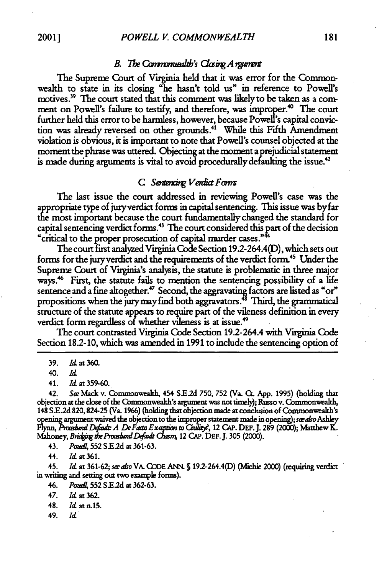### *B. The Communalith's Closing A regiment*

The Supreme Court of Virginia held that it was **error** for the Commonwealth to state in its closing "he hasn't told us" in reference to Powell's motives.<sup>39</sup> The court stated that this comment was likely to be taken as a comment on Powell's failure to testify, and therefore, was improper.<sup>40</sup> The court further held this error to be harmless, however, because Powell's capital conviction was already reversed on other grounds.<sup>41</sup> While this Fifth Amendment violation is obvious, it is important to note that Powell's counsel objected at the moment the phrase was uttered. Objecting at the moment a prejudicial statement is made during arguments is vital to avoid procedurally defaulting the issue.<sup>42</sup>

#### C *Sentencing Vendict Forms*

The last issue the court addressed in reviewing Powell's case was the appropriate type of juryverdict forms in capital sentencing. This issue was byfar the most important because the court fundamentally changed the standard for capital sentencing verdict forms.<sup>43</sup> The court considered this part of the decision "critical to the proper prosecution of capital murder cases."<sup>44</sup>

The court first analyzed Virginia Code Section 19.2-264.4(D), which sets out forms for the jury verdict and the requirements of the verdict form.<sup>45</sup> Under the Supreme Court of Virginia's analysis, the statute is problematic in three major ways.<sup>46</sup> First, the statute fails to mention the sentencing possibility of a life sentence and a fine altogether.<sup>47</sup> Second, the aggravating factors are listed as "or" propositions when the jury may find both aggravators.<sup>48</sup> Third, the grammatical structure of the statute appears to require part of the vileness definition in every verdict form regardless of whether vileness is at issue.<sup>49</sup>

The court contrasted Virginia Code Section 19.2-264.4 with Virginia Code Section 18.2-10, which was amended in 1991 to include the sentencing option of

42. Ste Mack v. Commonwealth, 454 .E.2d **750, 752** (Va. **C App.** 1995) (holding that objection at the close of the Commonwealth's argument was not timely); Russo v. Commonwealth, 148 S.E.2d 820, 824-25 (Va. 1966) (holding that objection made at conclusion of Commonwealth's opening argument waived the objection to the improper statement made in opening); *seeaso* Ashley *Flynn, PmarxaazrDfam A DeFacto Exapm toCiilir,* 12 CAP. DEF.J. **289** (2000); Matthew K. Mahoney, *Bridging the Procedural Default Chasm*, 12 CAP. DEF. J. 305 (2000).

43. *Poudl* **552** S.E2d at 361-63.

44. **Id** at **361.**

45. *Id* at **361-62;** *seeaso* VA. **CODE** ANN. **S** 19.2-264.4(D) (Mlichie 2000) (requiring verdict in writing and setting out two example forms).

49. *Id*

**<sup>39.</sup>** *Id* at 360.

*<sup>40.</sup> Id*

<sup>41.</sup> *Id* at 359-60.

<sup>46.</sup> *Potud,* **552** S.E,2d **at** 362-63.

<sup>47.</sup> *Id* at 362.

<sup>48.</sup> *Id* at n.15.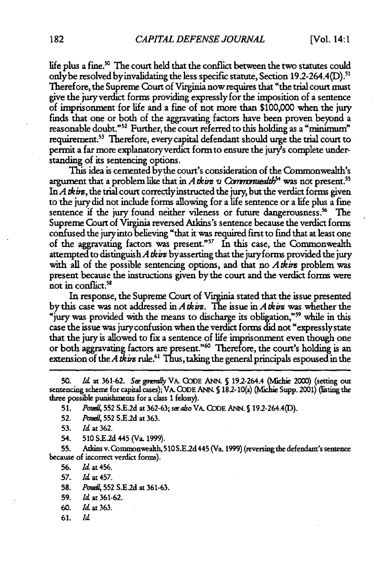life plus a fine. **The** court held that the conflict between the two statutes could only be resolved by invalidating the less specific statute, Section 19.2-264.4(D).  $^{\rm 5}$ Therefore, the Supreme Court of Virginia now requires that "the trial court must give the jury verdict forms providing expressly for the imposition of a sentence of imprisonment for life and a fine of not more than \$100,000 when the jury finds that one or both of the aggravating factors have been proven beyond a reasonable doubt."52 Further, the court referred to this holding as a "minimum" requirement.53 Therefore, every capital defendant should urge the trial court to permit a far more explanatory verdict form to ensure the jury's complete understanding of its sentencing options.

This idea is cemented bythe court's consideration of the Commonwealth's argument that a problem like that in *A tkins u Commonualib*<sup>54</sup> was not present.<sup>55</sup> In  $A$  thirs, the trial court correctly instructed the jury, but the verdict forms given to the jury did not include forms allowing for a life sentence or a life plus a fine sentence if the jury found neither vileness or future dangerousness.<sup>56</sup> The Supreme Court of Virginia reversed Atkins's sentence because the verdict forms confused the jury into believing "that it was required first to find that at least one of the aggravating factors was present."<sup>57</sup> In this case, the Commonwealth attempted to distinguish *A* tkins byasserting that the juryforms provided the jury with all of the possible sentencing options, and that no Atkins problem was present because the instructions given by the court and the verdict forms were not in conflict.<sup>58</sup>

In response, the Supreme Court of Virginia stated that the issue presented by this case was not addressed in **A** tkr. The issue in **A** tkim was whether the "jury was provided with the means to discharge its obligation,"<sup>59</sup> while in this case the issue was juryconfusion when the verdict forms did not "expresslystate that the jury is allowed to fix a sentence of life imprisonment even though one or both aggravating factors are present."<sup>60</sup> Therefore, the court's holding is an extension of the A tking rule.<sup>61</sup> Thus, taking the general principals espoused in the

54. **510 SE.d** 445 (Va. **1999).**

**55.** Axkins v.Commonwealth, **510** S.E2d 445 (Va. 1999) (reversing the defendant's sentence because of incorrect verdict forms).

**56.** *Id* at 456.

**57.** *Id* at 457.

**58.** *PodJ,* **552 S.E.2d** at 361-63.

- **59.** *Id* at 361-62.
- **60.** *Id* at **363.**
- 61. *Id*

<sup>50.</sup> *Id.* at 361-62. *See generally* VA. CODE ANN. § 19.2-264.4 (Michie 2000) (setting out sentencing scheme for capital cases); VA. CODE ANN. § 18.2-10(a) (Michie Supp. 2001) (listing the three possible punishments **for** a class 1 felony).

**<sup>51.</sup>** *PodA,* **552** S.E.2d at **362-63;** se *aso* VA. **CODE** ANN. S192-264.4(D).

**<sup>52.</sup>** *Pod1* **552** S.E2d at 363.

**<sup>53.</sup>** *Id* at 362.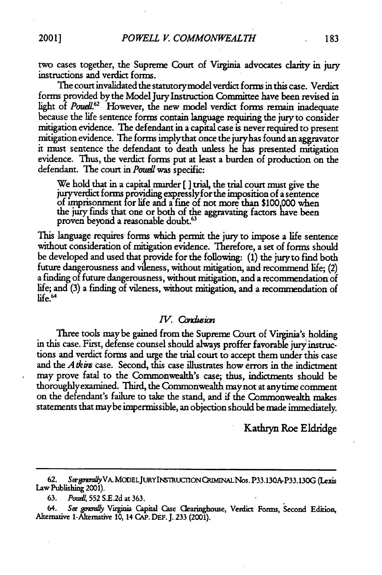two cases together, the Supreme Court of Virginia advocates clarity in jury instructions and verdict forms.

The court invalidated the statutorymodel verdict forms in this case. Verdict forms provided bythe Model Jury Instruction Committee have been revised in light of *Poudl.62* However, the new model verdict forms remain inadequate because the life sentence forms contain language requiring the jury to consider mitigation evidence. The defendant in a capital case is never required to present mitigation evidence. The forms implythat once the juryhas found an aggravator it must sentence the defendant to death unless he has presented mitigation evidence. Thus, the verdict forms put at least a burden of production on the defendant. The court in *Poudi* was specific:

We hold that in a capital murder **[ ]** trial, the trial court must give the juryverdict forms providing expresslyfor the imposition of a sentence of imprisonment for life and a fine of not more than \$100,000 when the jury finds that one or both of the aggravating factors have been proven beyond a reasonable doubt.<sup>63</sup>

This language requires forms which permit the jury to impose a life sentence without consideration of mitigation evidence. Therefore, a set of forms should be developed and used that provide for the following: (1) the juryto find both future dangerousness and vileness, without mitigation, and recommend life; (2) a finding of future dangerousness, without mitigation, and a recommendation of life; and (3) a finding of vileness, without mitigation, and a recommendation of  $life.$ <sup>64</sup>

## *IV. Condusion*

Three tools may be gained from the Supreme Court of Virginia's holding in this case. First, defense counsel should always proffer favorable jury instructions and verdict forms and urge the trial court to accept them under this case and the *A tkin* case. Second, this case illustrates how errors in the indictment may prove fatal to the Commonwealth's case; thus, indictments should be thoroughlyexamined. Third, the Commonwealth maynot at anytime comment on the defendant's failure to take the stand, and if the Commonwealth makes statements that maybe impermissible, an objection should be made immediately.

Kathryn Roe Eldridge

<sup>62.</sup> **Seepgowly** VA. MODELJURYINSTRLUJCONQUMINALNos. P33.130A-P33.130G **(Lexis** Law Publishing 2001).

<sup>63.</sup> *PoudZ* 552 S.E.2d at 363.

<sup>64.</sup> **See** *grmUy* Virginia Capital Case Clearinghouse, Verdict Forms, Second Edition, Alternative 1-Alternative 10, 14 **CAP. DEF. J.** 233 (2001).